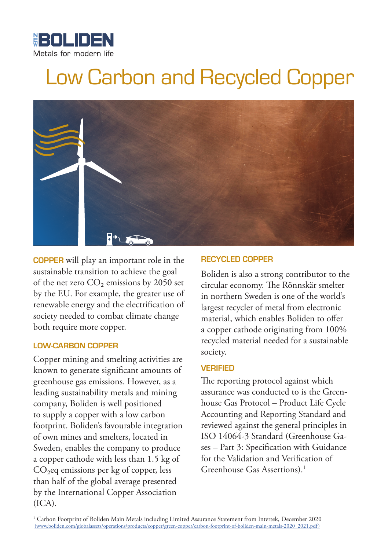

# Low Carbon and Recycled Copper



**COPPER** will play an important role in the sustainable transition to achieve the goal of the net zero  $CO<sub>2</sub>$  emissions by 2050 set by the EU. For example, the greater use of renewable energy and the electrification of society needed to combat climate change both require more copper.

#### **LOW-CARBON COPPER**

Copper mining and smelting activities are known to generate significant amounts of greenhouse gas emissions. However, as a leading sustainability metals and mining company, Boliden is well positioned to supply a copper with a low carbon footprint. Boliden's favourable integration of own mines and smelters, located in Sweden, enables the company to produce a copper cathode with less than 1.5 kg of CO<sub>2</sub>eq emissions per kg of copper, less than half of the global average presented by the International Copper Association  $(ICA).$ 

#### **RECYCLED COPPER**

Boliden is also a strong contributor to the circular economy. The Rönnskär smelter in northern Sweden is one of the world's largest recycler of metal from electronic material, which enables Boliden to offer a copper cathode originating from 100% recycled material needed for a sustainable society.

#### **VERIFIED**

The reporting protocol against which assurance was conducted to is the Greenhouse Gas Protocol – Product Life Cycle Accounting and Reporting Standard and reviewed against the general principles in ISO 14064-3 Standard (Greenhouse Gases – Part 3: Specification with Guidance for the Validation and Verification of Greenhouse Gas Assertions).1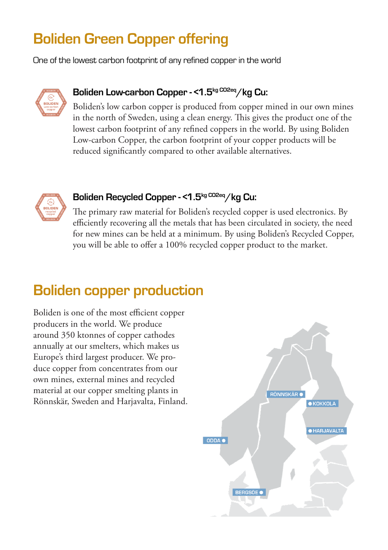# **Boliden Green Copper offering**

One of the lowest carbon footprint of any refined copper in the world



### **Boliden Low-carbon Copper - <1.5kg CO2eq/kg Cu:**

Boliden's low carbon copper is produced from copper mined in our own mines in the north of Sweden, using a clean energy. This gives the product one of the lowest carbon footprint of any refined coppers in the world. By using Boliden Low-carbon Copper, the carbon footprint of your copper products will be reduced significantly compared to other available alternatives.



### **Boliden Recycled Copper - <1.5kg CO2eq/kg Cu:**

The primary raw material for Boliden's recycled copper is used electronics. By efficiently recovering all the metals that has been circulated in society, the need for new mines can be held at a minimum. By using Boliden's Recycled Copper, you will be able to offer a 100% recycled copper product to the market.

### **Boliden copper production**

Boliden is one of the most efficient copper producers in the world. We produce around 350 ktonnes of copper cathodes annually at our smelters, which makes us Europe's third largest producer. We produce copper from concentrates from our own mines, external mines and recycled material at our copper smelting plants in Rönnskär, Sweden and Harjavalta, Finland.

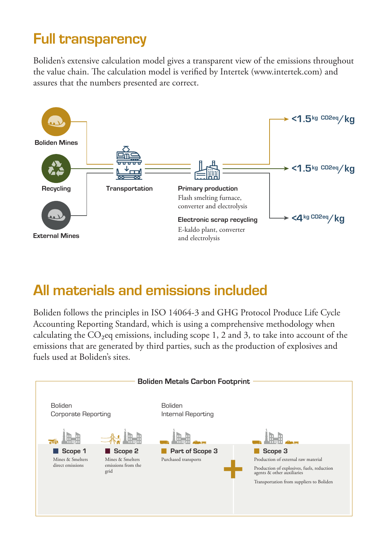## **Full transparency**

Boliden's extensive calculation model gives a transparent view of the emissions throughout the value chain. The calculation model is verified by Intertek (www.intertek.com) and assures that the numbers presented are correct.



### **All materials and emissions included**

Boliden follows the principles in ISO 14064-3 and GHG Protocol Produce Life Cycle Accounting Reporting Standard, which is using a comprehensive methodology when calculating the  $CO<sub>2</sub>$ eq emissions, including scope 1, 2 and 3, to take into account of the emissions that are generated by third parties, such as the production of explosives and fuels used at Boliden's sites.